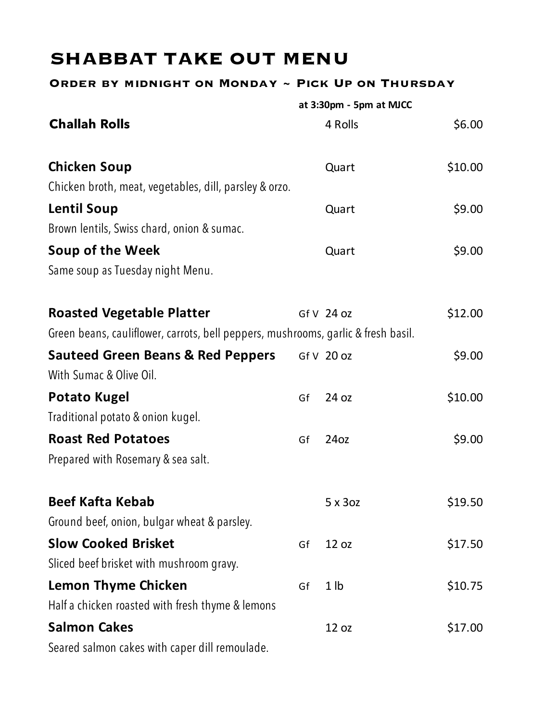## **SHABBAT TAKE OUT MENU**

## **Order by midnight on Monday ~ Pick Up on Thursday**

|                                                                                   |    | at 3:30pm - 5pm at MJCC |         |
|-----------------------------------------------------------------------------------|----|-------------------------|---------|
| <b>Challah Rolls</b>                                                              |    | 4 Rolls                 | \$6.00  |
| <b>Chicken Soup</b>                                                               |    | Quart                   | \$10.00 |
| Chicken broth, meat, vegetables, dill, parsley & orzo.                            |    |                         |         |
| <b>Lentil Soup</b>                                                                |    | Quart                   | \$9.00  |
| Brown lentils, Swiss chard, onion & sumac.                                        |    |                         |         |
| Soup of the Week                                                                  |    | Quart                   | \$9.00  |
| Same soup as Tuesday night Menu.                                                  |    |                         |         |
| <b>Roasted Vegetable Platter</b>                                                  |    | Gf V 24 oz              | \$12.00 |
| Green beans, cauliflower, carrots, bell peppers, mushrooms, garlic & fresh basil. |    |                         |         |
| <b>Sauteed Green Beans &amp; Red Peppers</b>                                      |    | Gf V 20 oz              | \$9.00  |
| With Sumac & Olive Oil.                                                           |    |                         |         |
| <b>Potato Kugel</b>                                                               | Gf | 24 oz                   | \$10.00 |
| Traditional potato & onion kugel.                                                 |    |                         |         |
| <b>Roast Red Potatoes</b>                                                         | Gf | 24oz                    | \$9.00  |
| Prepared with Rosemary & sea salt.                                                |    |                         |         |
| <b>Beef Kafta Kebab</b>                                                           |    | 5 x 3 oz                | \$19.50 |
| Ground beef, onion, bulgar wheat & parsley.                                       |    |                         |         |
| <b>Slow Cooked Brisket</b>                                                        | Gf | 12 oz                   | \$17.50 |
| Sliced beef brisket with mushroom gravy.                                          |    |                         |         |
| <b>Lemon Thyme Chicken</b>                                                        | Gf | 1 <sub>1</sub>          | \$10.75 |
| Half a chicken roasted with fresh thyme & lemons                                  |    |                         |         |
| <b>Salmon Cakes</b>                                                               |    | 12 oz                   | \$17.00 |
| Seared salmon cakes with caper dill remoulade.                                    |    |                         |         |